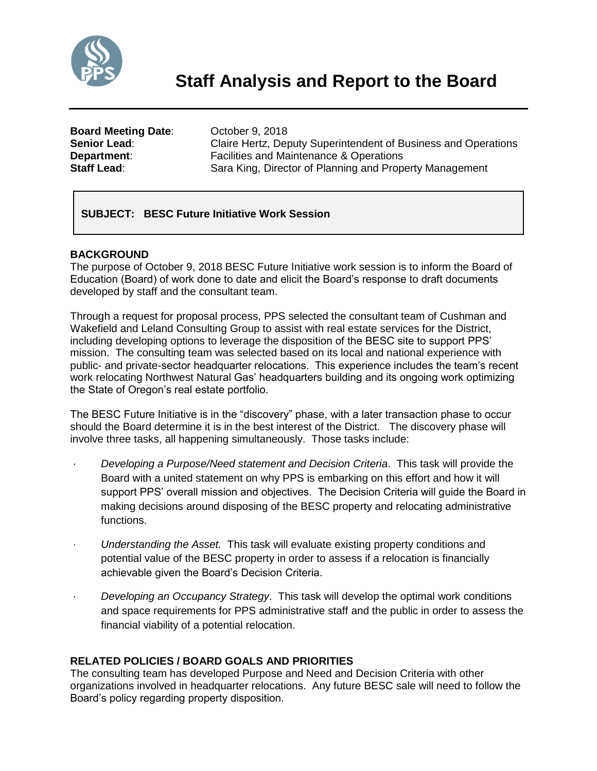

**Board Meeting Date**: October 9, 2018 **Senior Lead:** Claire Hertz, Deputy Superintendent of Business and Operations **Department:** Facilities and Maintenance & Operations **Staff Lead:** Sara King, Director of Planning and Property Management

# **SUBJECT: BESC Future Initiative Work Session**

# **BACKGROUND**

The purpose of October 9, 2018 BESC Future Initiative work session is to inform the Board of Education (Board) of work done to date and elicit the Board's response to draft documents developed by staff and the consultant team.

Through a request for proposal process, PPS selected the consultant team of Cushman and Wakefield and Leland Consulting Group to assist with real estate services for the District, including developing options to leverage the disposition of the BESC site to support PPS' mission. The consulting team was selected based on its local and national experience with public- and private-sector headquarter relocations. This experience includes the team's recent work relocating Northwest Natural Gas' headquarters building and its ongoing work optimizing the State of Oregon's real estate portfolio.

The BESC Future Initiative is in the "discovery" phase, with a later transaction phase to occur should the Board determine it is in the best interest of the District. The discovery phase will involve three tasks, all happening simultaneously. Those tasks include:

- · *Developing a Purpose/Need statement and Decision Criteria*. This task will provide the Board with a united statement on why PPS is embarking on this effort and how it will support PPS' overall mission and objectives. The Decision Criteria will guide the Board in making decisions around disposing of the BESC property and relocating administrative functions.
- · *Understanding the Asset.* This task will evaluate existing property conditions and potential value of the BESC property in order to assess if a relocation is financially achievable given the Board's Decision Criteria.
- · *Developing an Occupancy Strategy*. This task will develop the optimal work conditions and space requirements for PPS administrative staff and the public in order to assess the financial viability of a potential relocation.

# **RELATED POLICIES / BOARD GOALS AND PRIORITIES**

The consulting team has developed Purpose and Need and Decision Criteria with other organizations involved in headquarter relocations. Any future BESC sale will need to follow the Board's policy regarding property disposition.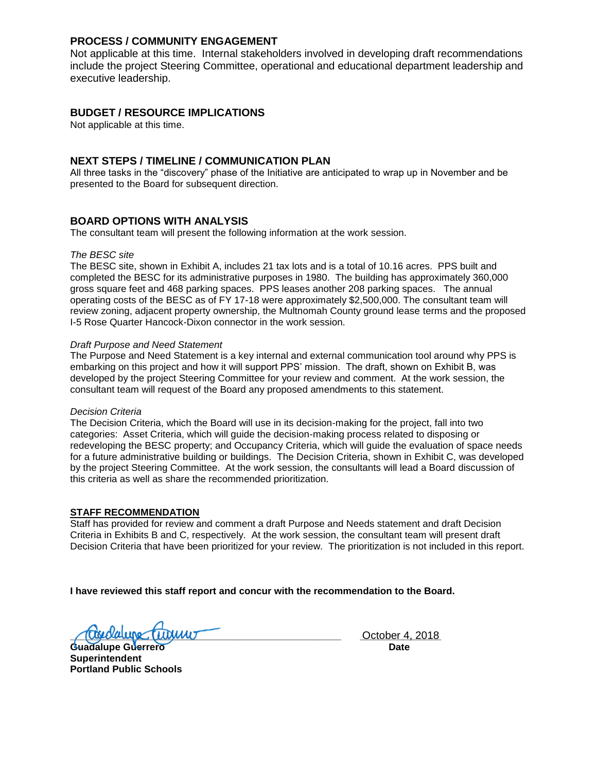### **PROCESS / COMMUNITY ENGAGEMENT**

Not applicable at this time. Internal stakeholders involved in developing draft recommendations include the project Steering Committee, operational and educational department leadership and executive leadership.

# **BUDGET / RESOURCE IMPLICATIONS**

Not applicable at this time.

## **NEXT STEPS / TIMELINE / COMMUNICATION PLAN**

All three tasks in the "discovery" phase of the Initiative are anticipated to wrap up in November and be presented to the Board for subsequent direction.

# **BOARD OPTIONS WITH ANALYSIS**

The consultant team will present the following information at the work session.

#### *The BESC site*

The BESC site, shown in Exhibit A, includes 21 tax lots and is a total of 10.16 acres. PPS built and completed the BESC for its administrative purposes in 1980. The building has approximately 360,000 gross square feet and 468 parking spaces. PPS leases another 208 parking spaces. The annual operating costs of the BESC as of FY 17-18 were approximately \$2,500,000. The consultant team will review zoning, adjacent property ownership, the Multnomah County ground lease terms and the proposed I-5 Rose Quarter Hancock-Dixon connector in the work session.

#### *Draft Purpose and Need Statement*

The Purpose and Need Statement is a key internal and external communication tool around why PPS is embarking on this project and how it will support PPS' mission. The draft, shown on Exhibit B, was developed by the project Steering Committee for your review and comment. At the work session, the consultant team will request of the Board any proposed amendments to this statement.

#### *Decision Criteria*

The Decision Criteria, which the Board will use in its decision-making for the project, fall into two categories: Asset Criteria, which will guide the decision-making process related to disposing or redeveloping the BESC property; and Occupancy Criteria, which will guide the evaluation of space needs for a future administrative building or buildings. The Decision Criteria, shown in Exhibit C, was developed by the project Steering Committee. At the work session, the consultants will lead a Board discussion of this criteria as well as share the recommended prioritization.

#### **STAFF RECOMMENDATION**

Staff has provided for review and comment a draft Purpose and Needs statement and draft Decision Criteria in Exhibits B and C, respectively. At the work session, the consultant team will present draft Decision Criteria that have been prioritized for your review. The prioritization is not included in this report.

**I have reviewed this staff report and concur with the recommendation to the Board.**

**Tropolalupe (William Transformation Control of the Country of the Country Country Country Country Country Country Country Country Country Country Country Country Country Country Country Country Country Country Country Cou** 

**Guadalupe Guerrero Date Superintendent Portland Public Schools**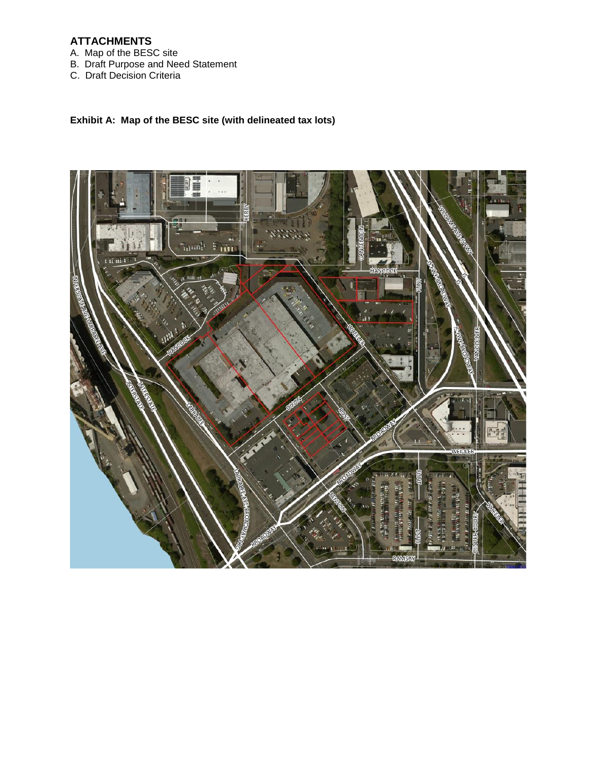# **ATTACHMENTS**

- A. Map of the BESC site
- B. Draft Purpose and Need Statement
- C. Draft Decision Criteria

# **Exhibit A: Map of the BESC site (with delineated tax lots)**

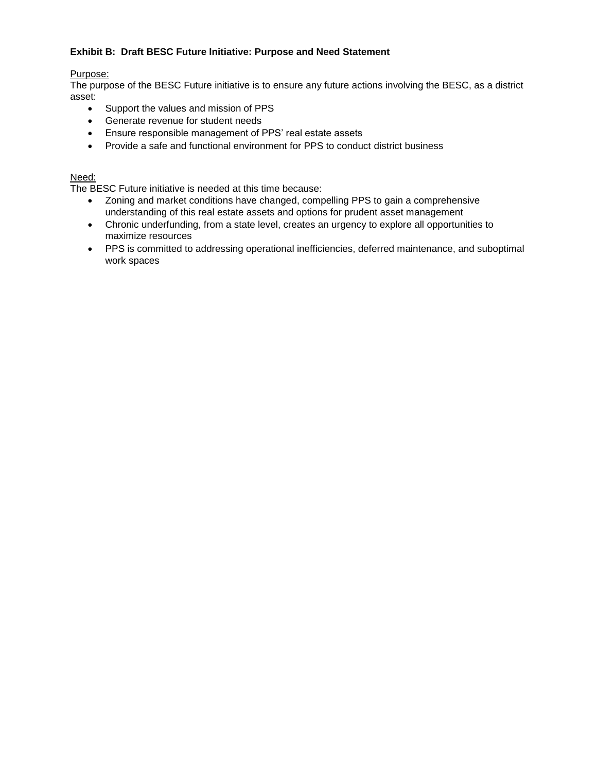## **Exhibit B: Draft BESC Future Initiative: Purpose and Need Statement**

## Purpose:

The purpose of the BESC Future initiative is to ensure any future actions involving the BESC, as a district asset:

- Support the values and mission of PPS
- Generate revenue for student needs
- Ensure responsible management of PPS' real estate assets
- Provide a safe and functional environment for PPS to conduct district business

# Need:

The BESC Future initiative is needed at this time because:

- Zoning and market conditions have changed, compelling PPS to gain a comprehensive understanding of this real estate assets and options for prudent asset management
- Chronic underfunding, from a state level, creates an urgency to explore all opportunities to maximize resources
- PPS is committed to addressing operational inefficiencies, deferred maintenance, and suboptimal work spaces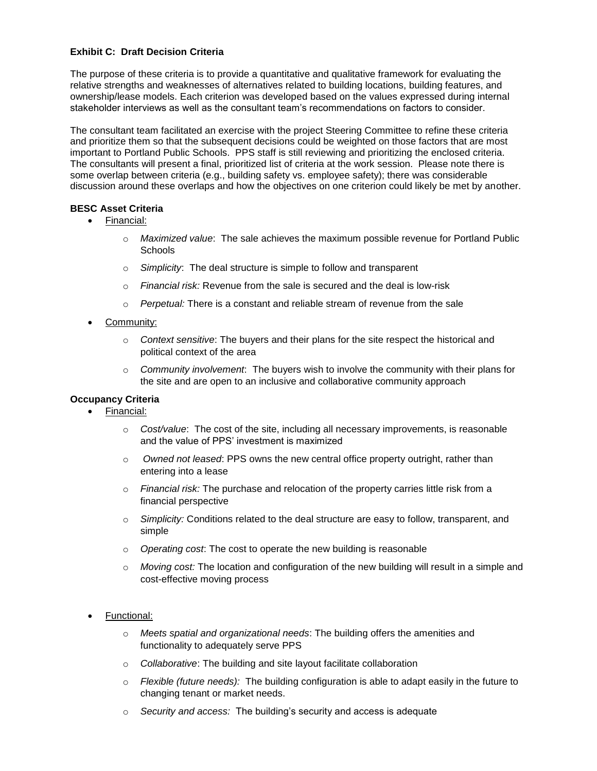### **Exhibit C: Draft Decision Criteria**

The purpose of these criteria is to provide a quantitative and qualitative framework for evaluating the relative strengths and weaknesses of alternatives related to building locations, building features, and ownership/lease models. Each criterion was developed based on the values expressed during internal stakeholder interviews as well as the consultant team's recommendations on factors to consider.

The consultant team facilitated an exercise with the project Steering Committee to refine these criteria and prioritize them so that the subsequent decisions could be weighted on those factors that are most important to Portland Public Schools. PPS staff is still reviewing and prioritizing the enclosed criteria. The consultants will present a final, prioritized list of criteria at the work session. Please note there is some overlap between criteria (e.g., building safety vs. employee safety); there was considerable discussion around these overlaps and how the objectives on one criterion could likely be met by another.

#### **BESC Asset Criteria**

- Financial:
	- o *Maximized value*: The sale achieves the maximum possible revenue for Portland Public **Schools**
	- o *Simplicity*: The deal structure is simple to follow and transparent
	- o *Financial risk:* Revenue from the sale is secured and the deal is low-risk
	- o *Perpetual:* There is a constant and reliable stream of revenue from the sale
- Community:
	- o *Context sensitive*: The buyers and their plans for the site respect the historical and political context of the area
	- o *Community involvement*: The buyers wish to involve the community with their plans for the site and are open to an inclusive and collaborative community approach

## **Occupancy Criteria**

- Financial:
	- o *Cost/value*: The cost of the site, including all necessary improvements, is reasonable and the value of PPS' investment is maximized
	- o *Owned not leased*: PPS owns the new central office property outright, rather than entering into a lease
	- o *Financial risk:* The purchase and relocation of the property carries little risk from a financial perspective
	- o *Simplicity:* Conditions related to the deal structure are easy to follow, transparent, and simple
	- o *Operating cost*: The cost to operate the new building is reasonable
	- o *Moving cost:* The location and configuration of the new building will result in a simple and cost-effective moving process
- Functional:
	- o *Meets spatial and organizational needs*: The building offers the amenities and functionality to adequately serve PPS
	- o *Collaborative*: The building and site layout facilitate collaboration
	- o *Flexible (future needs):* The building configuration is able to adapt easily in the future to changing tenant or market needs.
	- o *Security and access:* The building's security and access is adequate